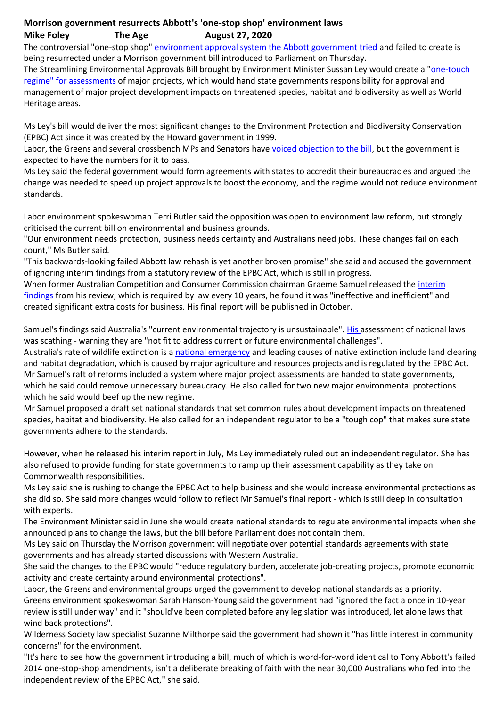## **Morrison government resurrects Abbott's 'one-stop shop' environment laws Mike Foley The Age August 27, 2020**

The controversial "one-stop shop" [environment approval system the Abbott government tried](https://www.theage.com.au/link/follow-20170101-2zc1k) and failed to create is being resurrected under a Morrison government bill introduced to Parliament on Thursday.

The Streamlining Environmental Approvals Bill brought by Environment Minister Sussan Ley would create a ["one-touch](https://www.smh.com.au/politics/federal/one-touch-environment-assessment-regime-to-hand-control-to-states-20200720-p55dos.html)  [regime" for assessments](https://www.smh.com.au/politics/federal/one-touch-environment-assessment-regime-to-hand-control-to-states-20200720-p55dos.html) of major projects, which would hand state governments responsibility for approval and management of major project development impacts on threatened species, habitat and biodiversity as well as World Heritage areas.

Ms Ley's bill would deliver the most significant changes to the Environment Protection and Biodiversity Conservation (EPBC) Act since it was created by the Howard government in 1999.

Labor, the Greens and several crossbench MPs and Senators have [voiced objection to the bill,](https://www.theage.com.au/link/follow-20170101-p55p8w) but the government is expected to have the numbers for it to pass.

Ms Ley said the federal government would form agreements with states to accredit their bureaucracies and argued the change was needed to speed up project approvals to boost the economy, and the regime would not reduce environment standards.

Labor environment spokeswoman Terri Butler said the opposition was open to environment law reform, but strongly criticised the current bill on environmental and business grounds.

"Our environment needs protection, business needs certainty and Australians need jobs. These changes fail on each count," Ms Butler said.

"This backwards-looking failed Abbott law rehash is yet another broken promise" she said and accused the government of ignoring interim findings from a statutory review of the EPBC Act, which is still in progress.

When former Australian Competition and Consumer Commission chairman Graeme Samuel released the [interim](https://epbcactreview.environment.gov.au/)  [findings](https://epbcactreview.environment.gov.au/) from his review, which is required by law every 10 years, he found it was "ineffective and inefficient" and created significant extra costs for business. His final report will be published in October.

Samuel's findings said Australia's "current environmental trajectory is unsustainable". [His](https://www.theage.com.au/link/follow-20170101-p55eu3) assessment of national laws was scathing - warning they are "not fit to address current or future environmental challenges".

Australia's rate of wildlife extinction is a [national emergency](https://www.smh.com.au/politics/federal/why-is-australia-a-global-leader-in-wildlife-extinctions-20200717-p55cyd.html) and leading causes of native extinction include land clearing and habitat degradation, which is caused by major agriculture and resources projects and is regulated by the EPBC Act. Mr Samuel's raft of reforms included a system where major project assessments are handed to state governments, which he said could remove unnecessary bureaucracy. He also called for two new major environmental protections which he said would beef up the new regime.

Mr Samuel proposed a draft set national standards that set common rules about development impacts on threatened species, habitat and biodiversity. He also called for an independent regulator to be a "tough cop" that makes sure state governments adhere to the standards.

However, when he released his interim report in July, Ms Ley immediately ruled out an independent regulator. She has also refused to provide funding for state governments to ramp up their assessment capability as they take on Commonwealth responsibilities.

Ms Ley said she is rushing to change the EPBC Act to help business and she would increase environmental protections as she did so. She said more changes would follow to reflect Mr Samuel's final report - which is still deep in consultation with experts.

The Environment Minister said in June she would create national standards to regulate environmental impacts when she announced plans to change the laws, but the bill before Parliament does not contain them.

Ms Ley said on Thursday the Morrison government will negotiate over potential standards agreements with state governments and has already started discussions with Western Australia.

She said the changes to the EPBC would "reduce regulatory burden, accelerate job-creating projects, promote economic activity and create certainty around environmental protections".

Labor, the Greens and environmental groups urged the government to develop national standards as a priority. Greens environment spokeswoman Sarah Hanson-Young said the government had "ignored the fact a once in 10-year review is still under way" and it "should've been completed before any legislation was introduced, let alone laws that wind back protections".

Wilderness Society law specialist Suzanne Milthorpe said the government had shown it "has little interest in community concerns" for the environment.

"It's hard to see how the government introducing a bill, much of which is word-for-word identical to Tony Abbott's failed 2014 one-stop-shop amendments, isn't a deliberate breaking of faith with the near 30,000 Australians who fed into the independent review of the EPBC Act," she said.